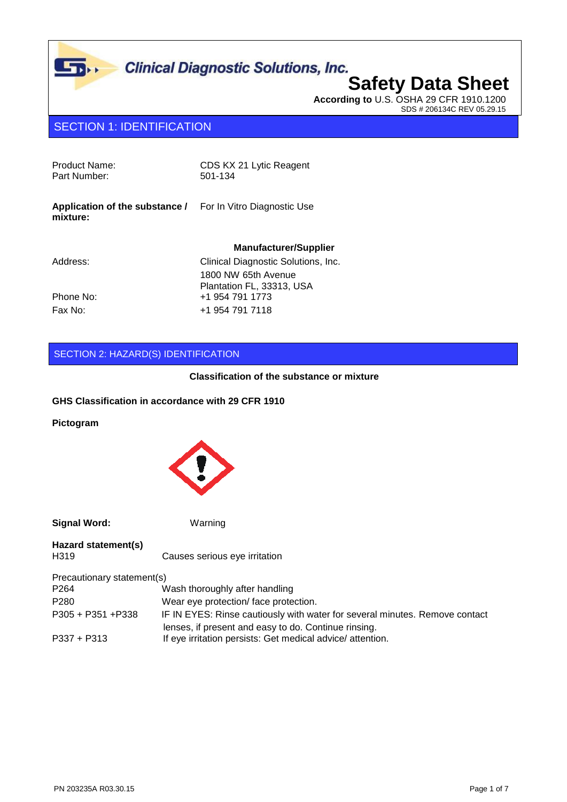

# **Safety Data Sheet**

**According to** U.S. OSHA 29 CFR 1910.1200 SDS # 206134C REV 05.29.15

### SECTION 1: IDENTIFICATION

| Product Name:<br>Part Number:              | CDS KX 21 Lytic Reagent<br>501-134               |
|--------------------------------------------|--------------------------------------------------|
| Application of the substance /<br>mixture: | For In Vitro Diagnostic Use                      |
|                                            |                                                  |
|                                            | <b>Manufacturer/Supplier</b>                     |
| Address:                                   | Clinical Diagnostic Solutions, Inc.              |
|                                            | 1800 NW 65th Avenue<br>Plantation FL, 33313, USA |
| Phone No:                                  | +1 954 791 1773                                  |

#### SECTION 2: HAZARD(S) IDENTIFICATION

#### **Classification of the substance or mixture**

#### **GHS Classification in accordance with 29 CFR 1910**

**Pictogram**



**Signal Word:** Warning

| Hazard statement(s)        |                                                                             |
|----------------------------|-----------------------------------------------------------------------------|
| H319                       | Causes serious eye irritation                                               |
| Precautionary statement(s) |                                                                             |
| P264                       | Wash thoroughly after handling                                              |
| P <sub>280</sub>           | Wear eye protection/face protection.                                        |
| P305 + P351 + P338         | IF IN EYES: Rinse cautiously with water for several minutes. Remove contact |
|                            | lenses, if present and easy to do. Continue rinsing.                        |
| P337 + P313                | If eye irritation persists: Get medical advice/attention.                   |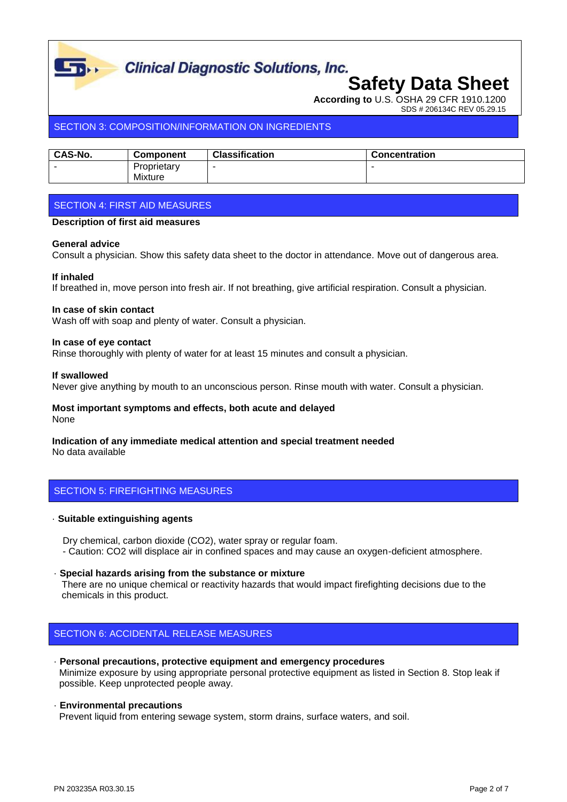

# **Clinical Diagnostic Solutions, Inc.**<br>**Safety Data Sheet**

**According to** U.S. OSHA 29 CFR 1910.1200

SDS # 206134C REV 05.29.15

#### SECTION 3: COMPOSITION/INFORMATION ON INGREDIENTS

| <b>CAS-No.</b> | <b>Component</b> | <b>Classification</b> | <b>Concentration</b> |
|----------------|------------------|-----------------------|----------------------|
|                | Proprietary      |                       |                      |
|                | Mixture          |                       |                      |

#### SECTION 4: FIRST AID MEASURES

#### **Description of first aid measures**

#### **General advice**

Consult a physician. Show this safety data sheet to the doctor in attendance. Move out of dangerous area.

#### **If inhaled**

If breathed in, move person into fresh air. If not breathing, give artificial respiration. Consult a physician.

#### **In case of skin contact**

Wash off with soap and plenty of water. Consult a physician.

#### **In case of eye contact**

Rinse thoroughly with plenty of water for at least 15 minutes and consult a physician.

#### **If swallowed**

Never give anything by mouth to an unconscious person. Rinse mouth with water. Consult a physician.

## **Most important symptoms and effects, both acute and delayed**

None

### **Indication of any immediate medical attention and special treatment needed**

No data available

#### SECTION 5: FIREFIGHTING MEASURES

#### · **Suitable extinguishing agents**

 Dry chemical, carbon dioxide (CO2), water spray or regular foam. - Caution: CO2 will displace air in confined spaces and may cause an oxygen-deficient atmosphere.

#### · **Special hazards arising from the substance or mixture**

 There are no unique chemical or reactivity hazards that would impact firefighting decisions due to the chemicals in this product.

#### SECTION 6: ACCIDENTAL RELEASE MEASURES

· **Personal precautions, protective equipment and emergency procedures** Minimize exposure by using appropriate personal protective equipment as listed in Section 8. Stop leak if possible. Keep unprotected people away.

#### · **Environmental precautions**

Prevent liquid from entering sewage system, storm drains, surface waters, and soil.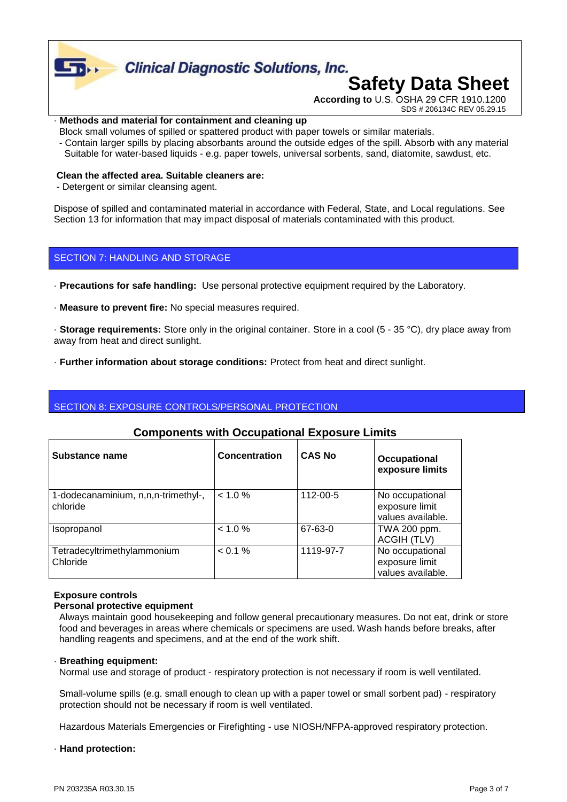

#### · **Methods and material for containment and cleaning up**

- Block small volumes of spilled or spattered product with paper towels or similar materials.
- Contain larger spills by placing absorbants around the outside edges of the spill. Absorb with any material Suitable for water-based liquids - e.g. paper towels, universal sorbents, sand, diatomite, sawdust, etc.

#### **Clean the affected area. Suitable cleaners are:**

- Detergent or similar cleansing agent.

Dispose of spilled and contaminated material in accordance with Federal, State, and Local regulations. See Section 13 for information that may impact disposal of materials contaminated with this product.

#### SECTION 7: HANDLING AND STORAGE

- · **Precautions for safe handling:** Use personal protective equipment required by the Laboratory.
- · **Measure to prevent fire:** No special measures required.

· **Storage requirements:** Store only in the original container. Store in a cool (5 - 35 °C), dry place away from away from heat and direct sunlight.

· **Further information about storage conditions:** Protect from heat and direct sunlight.

#### SECTION 8: EXPOSURE CONTROLS/PERSONAL PROTECTION

#### **Components with Occupational Exposure Limits**

| Substance name                                  | <b>Concentration</b> | <b>CAS No</b> | Occupational<br>exposure limits                        |
|-------------------------------------------------|----------------------|---------------|--------------------------------------------------------|
| 1-dodecanaminium, n,n,n-trimethyl-,<br>chloride | $< 1.0 \%$           | 112-00-5      | No occupational<br>exposure limit<br>values available. |
| <i>Isopropanol</i>                              | < 1.0 %              | 67-63-0       | TWA 200 ppm.<br><b>ACGIH (TLV)</b>                     |
| Tetradecyltrimethylammonium<br>Chloride         | < 0.1 %              | 1119-97-7     | No occupational<br>exposure limit<br>values available. |

#### **Exposure controls**

#### **Personal protective equipment**

 Always maintain good housekeeping and follow general precautionary measures. Do not eat, drink or store food and beverages in areas where chemicals or specimens are used. Wash hands before breaks, after handling reagents and specimens, and at the end of the work shift.

#### · **Breathing equipment:**

Normal use and storage of product - respiratory protection is not necessary if room is well ventilated.

 Small-volume spills (e.g. small enough to clean up with a paper towel or small sorbent pad) - respiratory protection should not be necessary if room is well ventilated.

Hazardous Materials Emergencies or Firefighting - use NIOSH/NFPA-approved respiratory protection.

· **Hand protection:**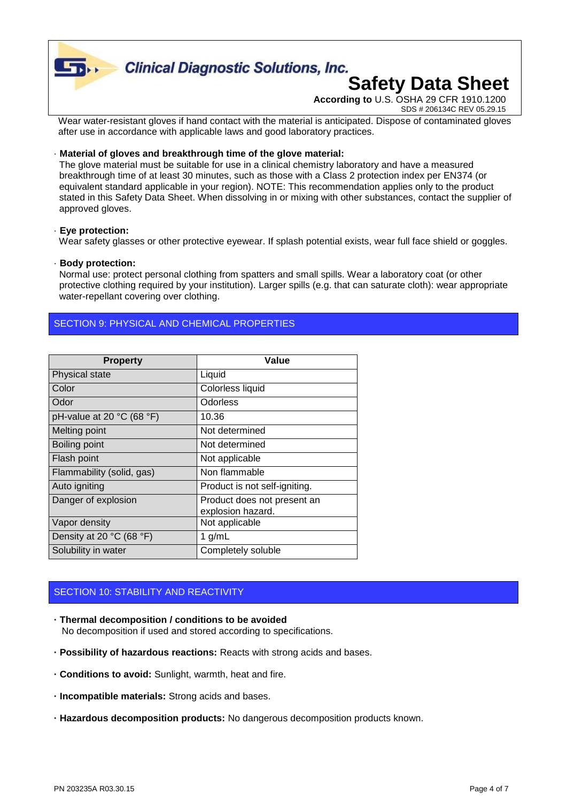

# **Clinical Diagnostic Solutions, Inc.**

# **Safety Data Sheet**

**According to** U.S. OSHA 29 CFR 1910.1200 SDS # 206134C REV 05.29.15

Wear water-resistant gloves if hand contact with the material is anticipated. Dispose of contaminated gloves after use in accordance with applicable laws and good laboratory practices.

#### · **Material of gloves and breakthrough time of the glove material:**

 The glove material must be suitable for use in a clinical chemistry laboratory and have a measured breakthrough time of at least 30 minutes, such as those with a Class 2 protection index per EN374 (or equivalent standard applicable in your region). NOTE: This recommendation applies only to the product stated in this Safety Data Sheet. When dissolving in or mixing with other substances, contact the supplier of approved gloves.

#### · **Eye protection:**

Wear safety glasses or other protective eyewear. If splash potential exists, wear full face shield or goggles.

#### · **Body protection:**

 Normal use: protect personal clothing from spatters and small spills. Wear a laboratory coat (or other protective clothing required by your institution). Larger spills (e.g. that can saturate cloth): wear appropriate water-repellant covering over clothing.

#### SECTION 9: PHYSICAL AND CHEMICAL PROPERTIES

| <b>Property</b>                               | Value                                            |
|-----------------------------------------------|--------------------------------------------------|
| Physical state                                | Liquid                                           |
| Color                                         | Colorless liquid                                 |
| Odor                                          | Odorless                                         |
| pH-value at 20 $^{\circ}$ C (68 $^{\circ}$ F) | 10.36                                            |
| Melting point                                 | Not determined                                   |
| Boiling point                                 | Not determined                                   |
| Flash point                                   | Not applicable                                   |
| Flammability (solid, gas)                     | Non flammable                                    |
| Auto igniting                                 | Product is not self-igniting.                    |
| Danger of explosion                           | Product does not present an<br>explosion hazard. |
| Vapor density                                 | Not applicable                                   |
| Density at 20 $°C$ (68 $°F$ )                 | 1 $g/mL$                                         |
| Solubility in water                           | Completely soluble                               |

#### SECTION 10: STABILITY AND REACTIVITY

- **· Thermal decomposition / conditions to be avoided** No decomposition if used and stored according to specifications.
- **· Possibility of hazardous reactions:** Reacts with strong acids and bases.
- **· Conditions to avoid:** Sunlight, warmth, heat and fire.
- **· Incompatible materials:** Strong acids and bases.
- **· Hazardous decomposition products:** No dangerous decomposition products known.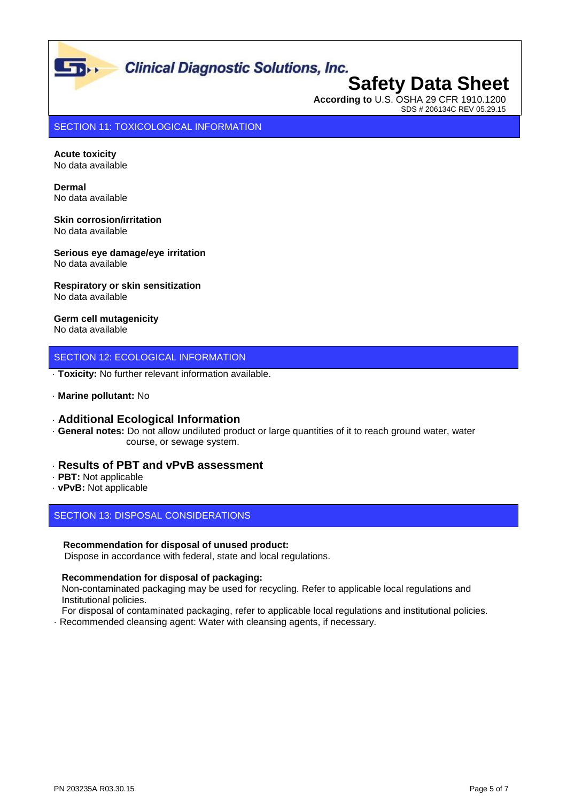# **Clinical Diagnostic Solutions, Inc.**<br>**Safety Data Sheet**

## **According to** U.S. OSHA 29 CFR 1910.1200 SDS # 206134C REV 05.29.15

SECTION 11: TOXICOLOGICAL INFORMATION

**Acute toxicity** No data available

 $\Gamma$ 

**Dermal** No data available

**Skin corrosion/irritation** No data available

**Serious eye damage/eye irritation** No data available

**Respiratory or skin sensitization** No data available

**Germ cell mutagenicity** No data available

#### SECTION 12: ECOLOGICAL INFORMATION

· **Toxicity:** No further relevant information available.

· **Marine pollutant:** No

#### · **Additional Ecological Information**

· **General notes:** Do not allow undiluted product or large quantities of it to reach ground water, water course, or sewage system.

#### · **Results of PBT and vPvB assessment**

- · **PBT:** Not applicable
- · **vPvB:** Not applicable

#### SECTION 13: DISPOSAL CONSIDERATIONS

#### **Recommendation for disposal of unused product:**

Dispose in accordance with federal, state and local regulations.

#### **Recommendation for disposal of packaging:**

 Non-contaminated packaging may be used for recycling. Refer to applicable local regulations and Institutional policies.

For disposal of contaminated packaging, refer to applicable local regulations and institutional policies.

· Recommended cleansing agent: Water with cleansing agents, if necessary.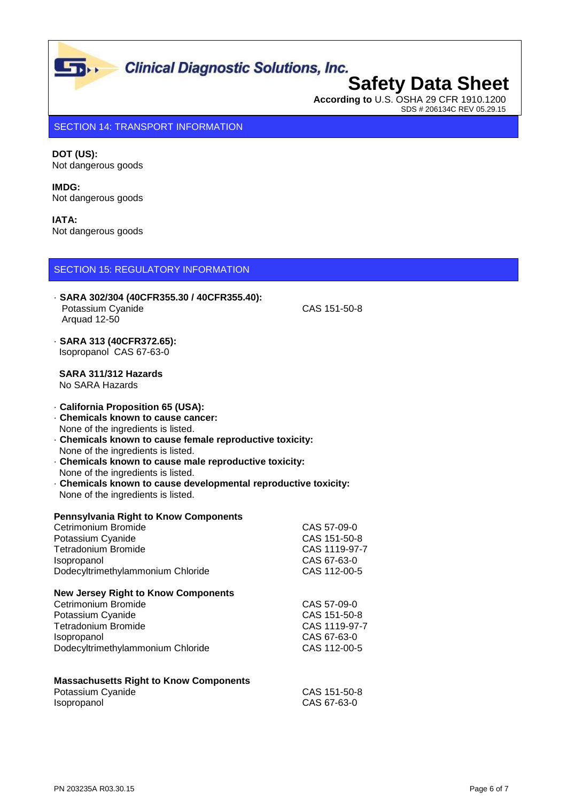SDS # 206134C REV 05.29.15

## **Safety Data Sheet According to** U.S. OSHA 29 CFR 1910.1200

SECTION 14: TRANSPORT INFORMATION

**DOT (US):** Not dangerous goods

**IMDG:** Not dangerous goods

| <b>IATA:</b><br>Not dangerous goods                                                                                                                                                                                                                                                                                                                                                                                 |                                                                             |  |
|---------------------------------------------------------------------------------------------------------------------------------------------------------------------------------------------------------------------------------------------------------------------------------------------------------------------------------------------------------------------------------------------------------------------|-----------------------------------------------------------------------------|--|
| <b>SECTION 15: REGULATORY INFORMATION</b>                                                                                                                                                                                                                                                                                                                                                                           |                                                                             |  |
| - SARA 302/304 (40CFR355.30 / 40CFR355.40):<br>Potassium Cyanide<br>Arquad 12-50                                                                                                                                                                                                                                                                                                                                    | CAS 151-50-8                                                                |  |
| - SARA 313 (40CFR372.65):<br>Isopropanol CAS 67-63-0                                                                                                                                                                                                                                                                                                                                                                |                                                                             |  |
| SARA 311/312 Hazards<br>No SARA Hazards                                                                                                                                                                                                                                                                                                                                                                             |                                                                             |  |
| - California Proposition 65 (USA):<br>. Chemicals known to cause cancer:<br>None of the ingredients is listed.<br>Chemicals known to cause female reproductive toxicity:<br>None of the ingredients is listed.<br>Chemicals known to cause male reproductive toxicity:<br>None of the ingredients is listed.<br>Chemicals known to cause developmental reproductive toxicity:<br>None of the ingredients is listed. |                                                                             |  |
| <b>Pennsylvania Right to Know Components</b><br>Cetrimonium Bromide<br>Potassium Cyanide<br><b>Tetradonium Bromide</b><br>Isopropanol<br>Dodecyltrimethylammonium Chloride                                                                                                                                                                                                                                          | CAS 57-09-0<br>CAS 151-50-8<br>CAS 1119-97-7<br>CAS 67-63-0<br>CAS 112-00-5 |  |
| <b>New Jersey Right to Know Components</b><br>Cetrimonium Bromide<br>Potassium Cyanide<br><b>Tetradonium Bromide</b><br>Isopropanol<br>Dodecyltrimethylammonium Chloride                                                                                                                                                                                                                                            | CAS 57-09-0<br>CAS 151-50-8<br>CAS 1119-97-7<br>CAS 67-63-0<br>CAS 112-00-5 |  |
| <b>Massachusetts Right to Know Components</b><br>Potassium Cyanide<br>Isopropanol                                                                                                                                                                                                                                                                                                                                   | CAS 151-50-8<br>CAS 67-63-0                                                 |  |